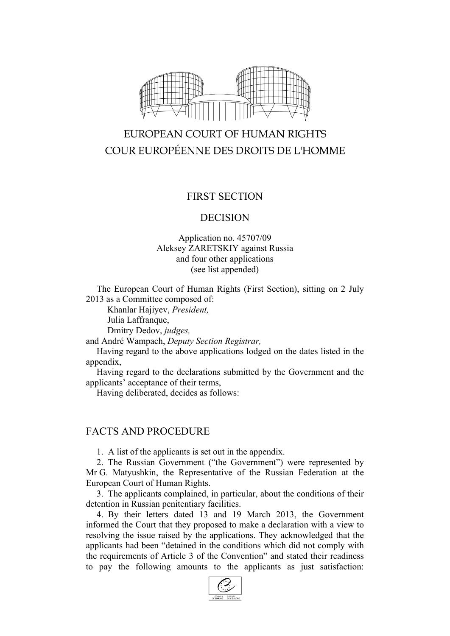

# EUROPEAN COURT OF HUMAN RIGHTS COUR EUROPÉENNE DES DROITS DE L'HOMME

## FIRST SECTION

#### DECISION

#### Application no. 45707/09 Aleksey ZARETSKIY against Russia and four other applications (see list appended)

The European Court of Human Rights (First Section), sitting on 2 July 2013 as a Committee composed of:

Khanlar Hajiyev, *President,*

Julia Laffranque,

Dmitry Dedov, *judges,*

and André Wampach, *Deputy Section Registrar,*

Having regard to the above applications lodged on the dates listed in the appendix,

Having regard to the declarations submitted by the Government and the applicants' acceptance of their terms,

Having deliberated, decides as follows:

### FACTS AND PROCEDURE

1. A list of the applicants is set out in the appendix.

2. The Russian Government ("the Government") were represented by Mr G. Matyushkin, the Representative of the Russian Federation at the European Court of Human Rights.

3. The applicants complained, in particular, about the conditions of their detention in Russian penitentiary facilities.

4. By their letters dated 13 and 19 March 2013, the Government informed the Court that they proposed to make a declaration with a view to resolving the issue raised by the applications. They acknowledged that the applicants had been "detained in the conditions which did not comply with the requirements of Article 3 of the Convention" and stated their readiness to pay the following amounts to the applicants as just satisfaction:

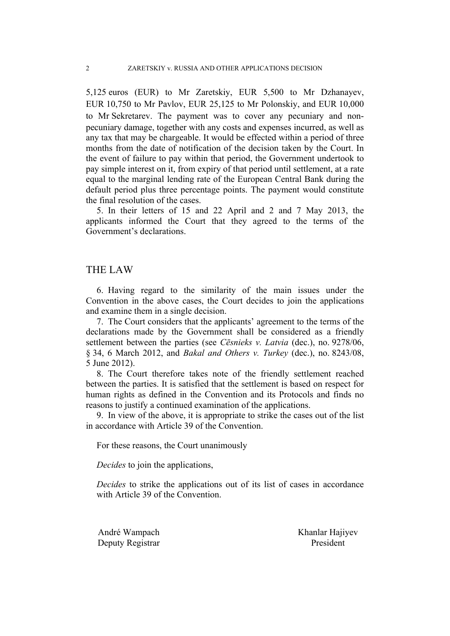5,125 euros (EUR) to Mr Zaretskiy, EUR 5,500 to Mr Dzhanayev, EUR 10,750 to Mr Pavlov, EUR 25,125 to Mr Polonskiy, and EUR 10,000 to Mr Sekretarev. The payment was to cover any pecuniary and nonpecuniary damage, together with any costs and expenses incurred, as well as any tax that may be chargeable. It would be effected within a period of three months from the date of notification of the decision taken by the Court. In the event of failure to pay within that period, the Government undertook to pay simple interest on it, from expiry of that period until settlement, at a rate equal to the marginal lending rate of the European Central Bank during the default period plus three percentage points. The payment would constitute the final resolution of the cases.

5. In their letters of 15 and 22 April and 2 and 7 May 2013, the applicants informed the Court that they agreed to the terms of the Government's declarations.

#### THE LAW

6. Having regard to the similarity of the main issues under the Convention in the above cases, the Court decides to join the applications and examine them in a single decision.

7. The Court considers that the applicants' agreement to the terms of the declarations made by the Government shall be considered as a friendly settlement between the parties (see *Cēsnieks v. Latvia* (dec.), no. 9278/06, § 34, 6 March 2012, and *Bakal and Others v. Turkey* (dec.), no. 8243/08, 5 June 2012).

8. The Court therefore takes note of the friendly settlement reached between the parties. It is satisfied that the settlement is based on respect for human rights as defined in the Convention and its Protocols and finds no reasons to justify a continued examination of the applications.

9. In view of the above, it is appropriate to strike the cases out of the list in accordance with Article 39 of the Convention.

For these reasons, the Court unanimously

*Decides* to join the applications,

*Decides* to strike the applications out of its list of cases in accordance with Article 39 of the Convention.

Deputy Registrar President

André Wampach Khanlar Hajiyev